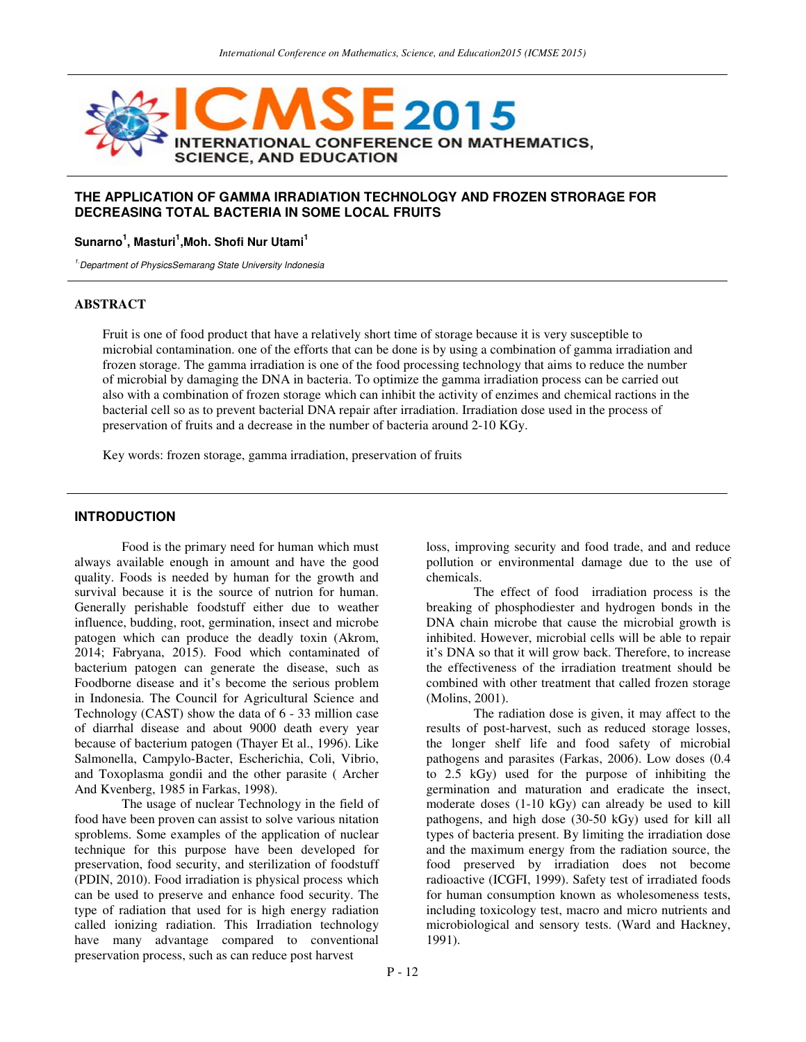

# **THE APPLICATION OF GAMMA IRRADIATION TECHNOLOGY AND FROZEN STRORAGE FOR DECREASING TOTAL BACTERIA IN SOME LOCAL FRUITS**

### **Sunarno<sup>1</sup> , Masturi<sup>1</sup> ,Moh. Shofi Nur Utami<sup>1</sup>**

<sup>1.</sup> Department of PhysicsSemarang State University Indonesia

# **ABSTRACT**

Fruit is one of food product that have a relatively short time of storage because it is very susceptible to microbial contamination. one of the efforts that can be done is by using a combination of gamma irradiation and frozen storage. The gamma irradiation is one of the food processing technology that aims to reduce the number of microbial by damaging the DNA in bacteria. To optimize the gamma irradiation process can be carried out also with a combination of frozen storage which can inhibit the activity of enzimes and chemical ractions in the bacterial cell so as to prevent bacterial DNA repair after irradiation. Irradiation dose used in the process of preservation of fruits and a decrease in the number of bacteria around 2-10 KGy.

Key words: frozen storage, gamma irradiation, preservation of fruits

### **INTRODUCTION**

Food is the primary need for human which must always available enough in amount and have the good quality. Foods is needed by human for the growth and survival because it is the source of nutrion for human. Generally perishable foodstuff either due to weather influence, budding, root, germination, insect and microbe patogen which can produce the deadly toxin (Akrom, 2014; Fabryana, 2015). Food which contaminated of bacterium patogen can generate the disease, such as Foodborne disease and it's become the serious problem in Indonesia. The Council for Agricultural Science and Technology (CAST) show the data of 6 - 33 million case of diarrhal disease and about 9000 death every year because of bacterium patogen (Thayer Et al., 1996). Like Salmonella, Campylo-Bacter, Escherichia, Coli, Vibrio, and Toxoplasma gondii and the other parasite ( Archer And Kvenberg, 1985 in Farkas, 1998).

The usage of nuclear Technology in the field of food have been proven can assist to solve various nitation sproblems. Some examples of the application of nuclear technique for this purpose have been developed for preservation, food security, and sterilization of foodstuff (PDIN, 2010). Food irradiation is physical process which can be used to preserve and enhance food security. The type of radiation that used for is high energy radiation called ionizing radiation. This Irradiation technology have many advantage compared to conventional preservation process, such as can reduce post harvest

loss, improving security and food trade, and and reduce pollution or environmental damage due to the use of chemicals.

The effect of food irradiation process is the breaking of phosphodiester and hydrogen bonds in the DNA chain microbe that cause the microbial growth is inhibited. However, microbial cells will be able to repair it's DNA so that it will grow back. Therefore, to increase the effectiveness of the irradiation treatment should be combined with other treatment that called frozen storage (Molins, 2001).

The radiation dose is given, it may affect to the results of post-harvest, such as reduced storage losses, the longer shelf life and food safety of microbial pathogens and parasites (Farkas, 2006). Low doses (0.4 to 2.5 kGy) used for the purpose of inhibiting the germination and maturation and eradicate the insect, moderate doses (1-10 kGy) can already be used to kill pathogens, and high dose (30-50 kGy) used for kill all types of bacteria present. By limiting the irradiation dose and the maximum energy from the radiation source, the food preserved by irradiation does not become radioactive (ICGFI, 1999). Safety test of irradiated foods for human consumption known as wholesomeness tests, including toxicology test, macro and micro nutrients and microbiological and sensory tests. (Ward and Hackney, 1991).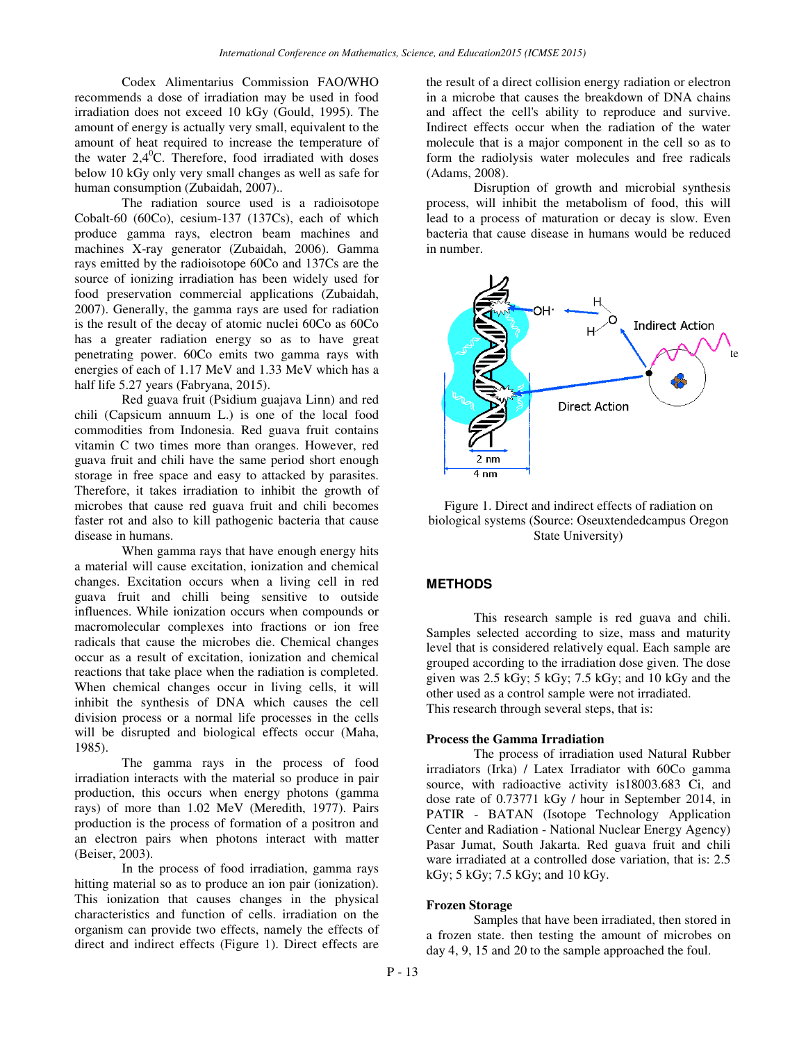Codex Alimentarius Commission FAO/WHO recommends a dose of irradiation may be used in food irradiation does not exceed 10 kGy (Gould, 1995). The amount of energy is actually very small, equivalent to the amount of heat required to increase the temperature of the water  $2,4$ <sup>o</sup>C. Therefore, food irradiated with doses below 10 kGy only very small changes as well as safe for human consumption (Zubaidah, 2007)..

The radiation source used is a radioisotope Cobalt-60 (60Co), cesium-137 (137Cs), each of which produce gamma rays, electron beam machines and machines X-ray generator (Zubaidah, 2006). Gamma rays emitted by the radioisotope 60Co and 137Cs are the source of ionizing irradiation has been widely used for food preservation commercial applications (Zubaidah, 2007). Generally, the gamma rays are used for radiation is the result of the decay of atomic nuclei 60Co as 60Co has a greater radiation energy so as to have great penetrating power. 60Co emits two gamma rays with energies of each of 1.17 MeV and 1.33 MeV which has a half life 5.27 years (Fabryana, 2015).

Red guava fruit (Psidium guajava Linn) and red chili (Capsicum annuum L.) is one of the local food commodities from Indonesia. Red guava fruit contains vitamin C two times more than oranges. However, red guava fruit and chili have the same period short enough storage in free space and easy to attacked by parasites. Therefore, it takes irradiation to inhibit the growth of microbes that cause red guava fruit and chili becomes faster rot and also to kill pathogenic bacteria that cause disease in humans.

When gamma rays that have enough energy hits a material will cause excitation, ionization and chemical changes. Excitation occurs when a living cell in red guava fruit and chilli being sensitive to outside influences. While ionization occurs when compounds or macromolecular complexes into fractions or ion free radicals that cause the microbes die. Chemical changes occur as a result of excitation, ionization and chemical reactions that take place when the radiation is completed. When chemical changes occur in living cells, it will inhibit the synthesis of DNA which causes the cell division process or a normal life processes in the cells will be disrupted and biological effects occur (Maha, 1985).

The gamma rays in the process of food irradiation interacts with the material so produce in pair production, this occurs when energy photons (gamma rays) of more than 1.02 MeV (Meredith, 1977). Pairs production is the process of formation of a positron and an electron pairs when photons interact with matter (Beiser, 2003).

In the process of food irradiation, gamma rays hitting material so as to produce an ion pair (ionization). This ionization that causes changes in the physical characteristics and function of cells. irradiation on the organism can provide two effects, namely the effects of direct and indirect effects (Figure 1). Direct effects are the result of a direct collision energy radiation or electron in a microbe that causes the breakdown of DNA chains and affect the cell's ability to reproduce and survive. Indirect effects occur when the radiation of the water molecule that is a major component in the cell so as to form the radiolysis water molecules and free radicals (Adams, 2008).

Disruption of growth and microbial synthesis process, will inhibit the metabolism of food, this will lead to a process of maturation or decay is slow. Even bacteria that cause disease in humans would be reduced in number.



Figure 1. Direct and indirect effects of radiation on biological systems (Source: Oseuxtendedcampus Oregon State University)

# **METHODS**

This research sample is red guava and chili. Samples selected according to size, mass and maturity level that is considered relatively equal. Each sample are grouped according to the irradiation dose given. The dose given was 2.5 kGy; 5 kGy; 7.5 kGy; and 10 kGy and the other used as a control sample were not irradiated. This research through several steps, that is:

#### **Process the Gamma Irradiation**

The process of irradiation used Natural Rubber irradiators (Irka) / Latex Irradiator with 60Co gamma source, with radioactive activity is18003.683 Ci, and dose rate of 0.73771 kGy / hour in September 2014, in PATIR - BATAN (Isotope Technology Application Center and Radiation - National Nuclear Energy Agency) Pasar Jumat, South Jakarta. Red guava fruit and chili ware irradiated at a controlled dose variation, that is: 2.5 kGy; 5 kGy; 7.5 kGy; and 10 kGy.

#### **Frozen Storage**

Samples that have been irradiated, then stored in a frozen state. then testing the amount of microbes on day 4, 9, 15 and 20 to the sample approached the foul.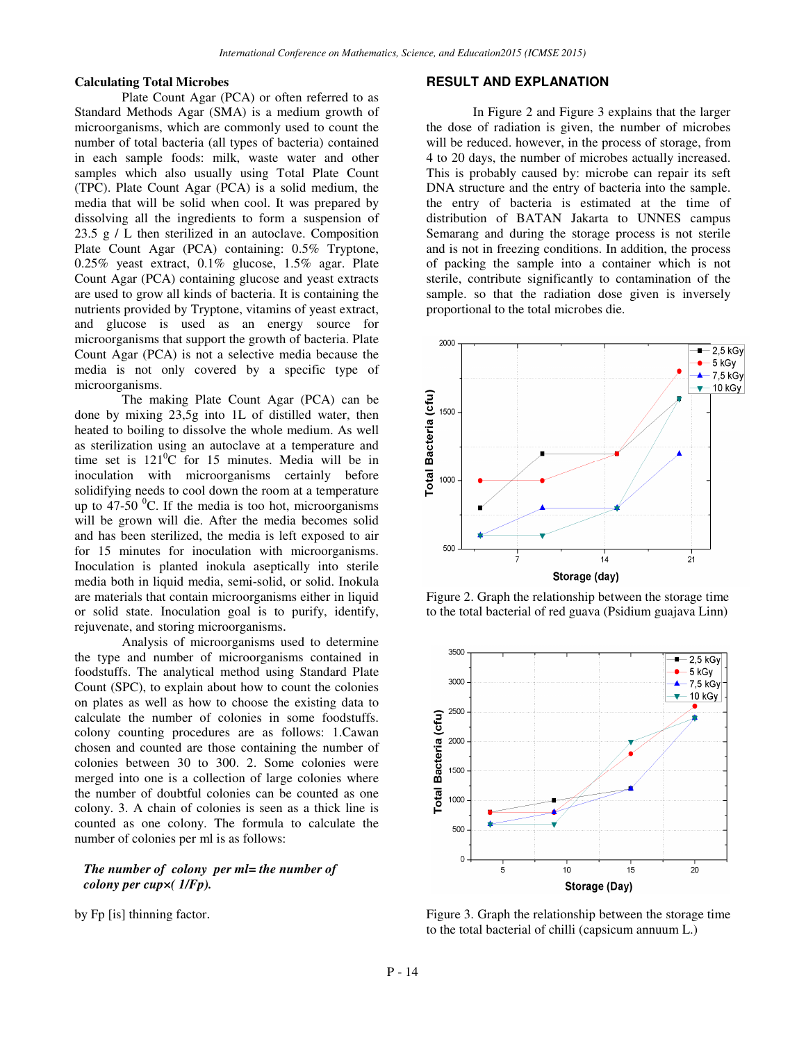#### **Calculating Total Microbes**

Plate Count Agar (PCA) or often referred to as Standard Methods Agar (SMA) is a medium growth of microorganisms, which are commonly used to count the number of total bacteria (all types of bacteria) contained in each sample foods: milk, waste water and other samples which also usually using Total Plate Count (TPC). Plate Count Agar (PCA) is a solid medium, the media that will be solid when cool. It was prepared by dissolving all the ingredients to form a suspension of 23.5 g / L then sterilized in an autoclave. Composition Plate Count Agar (PCA) containing: 0.5% Tryptone, 0.25% yeast extract, 0.1% glucose, 1.5% agar. Plate Count Agar (PCA) containing glucose and yeast extracts are used to grow all kinds of bacteria. It is containing the nutrients provided by Tryptone, vitamins of yeast extract, and glucose is used as an energy source for microorganisms that support the growth of bacteria. Plate Count Agar (PCA) is not a selective media because the media is not only covered by a specific type of microorganisms.

The making Plate Count Agar (PCA) can be done by mixing 23,5g into 1L of distilled water, then heated to boiling to dissolve the whole medium. As well as sterilization using an autoclave at a temperature and time set is  $121^0C$  for 15 minutes. Media will be in inoculation with microorganisms certainly before solidifying needs to cool down the room at a temperature up to  $47-50$  °C. If the media is too hot, microorganisms will be grown will die. After the media becomes solid and has been sterilized, the media is left exposed to air for 15 minutes for inoculation with microorganisms. Inoculation is planted inokula aseptically into sterile media both in liquid media, semi-solid, or solid. Inokula are materials that contain microorganisms either in liquid or solid state. Inoculation goal is to purify, identify, rejuvenate, and storing microorganisms.

Analysis of microorganisms used to determine the type and number of microorganisms contained in foodstuffs. The analytical method using Standard Plate Count (SPC), to explain about how to count the colonies on plates as well as how to choose the existing data to calculate the number of colonies in some foodstuffs. colony counting procedures are as follows: 1.Cawan chosen and counted are those containing the number of colonies between 30 to 300. 2. Some colonies were merged into one is a collection of large colonies where the number of doubtful colonies can be counted as one colony. 3. A chain of colonies is seen as a thick line is counted as one colony. The formula to calculate the number of colonies per ml is as follows:

# *The number of colony per ml= the number of colony per cup×( 1/Fp).*

by Fp [is] thinning factor.

#### **RESULT AND EXPLANATION**

In Figure 2 and Figure 3 explains that the larger the dose of radiation is given, the number of microbes will be reduced. however, in the process of storage, from 4 to 20 days, the number of microbes actually increased. This is probably caused by: microbe can repair its seft DNA structure and the entry of bacteria into the sample. the entry of bacteria is estimated at the time of distribution of BATAN Jakarta to UNNES campus Semarang and during the storage process is not sterile and is not in freezing conditions. In addition, the process of packing the sample into a container which is not sterile, contribute significantly to contamination of the sample. so that the radiation dose given is inversely proportional to the total microbes die.



Figure 2. Graph the relationship between the storage time to the total bacterial of red guava (Psidium guajava Linn)



Figure 3. Graph the relationship between the storage time to the total bacterial of chilli (capsicum annuum L.)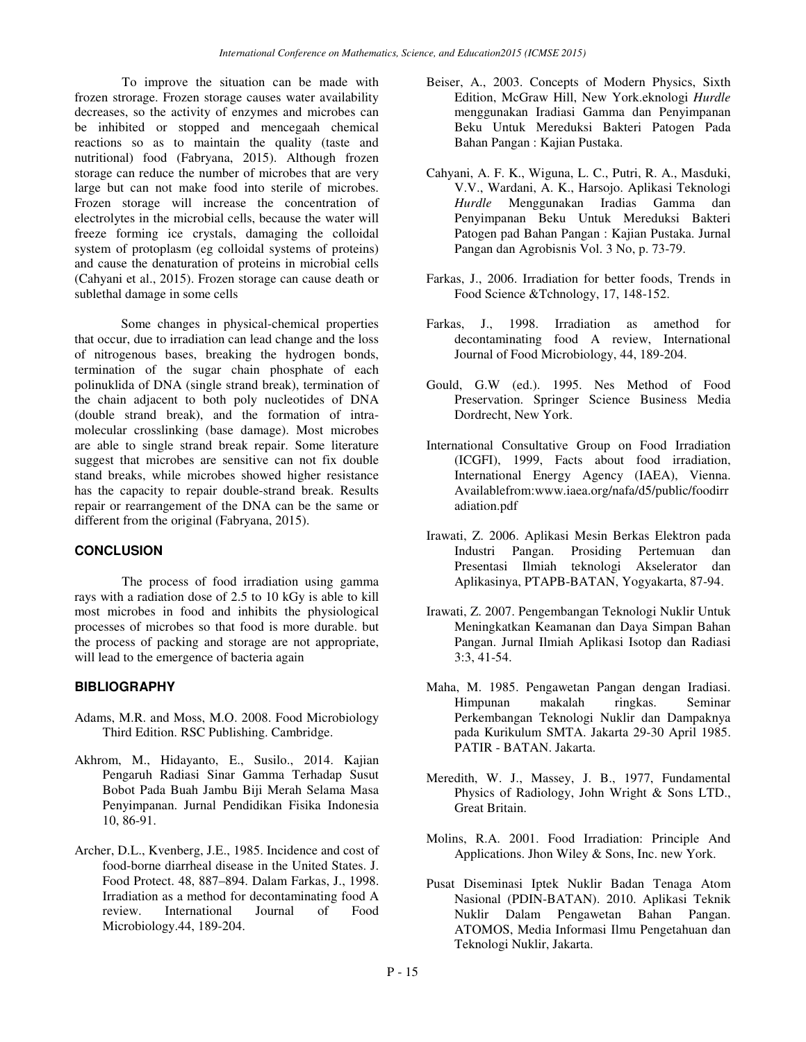To improve the situation can be made with frozen strorage. Frozen storage causes water availability decreases, so the activity of enzymes and microbes can be inhibited or stopped and mencegaah chemical reactions so as to maintain the quality (taste and nutritional) food (Fabryana, 2015). Although frozen storage can reduce the number of microbes that are very large but can not make food into sterile of microbes. Frozen storage will increase the concentration of electrolytes in the microbial cells, because the water will freeze forming ice crystals, damaging the colloidal system of protoplasm (eg colloidal systems of proteins) and cause the denaturation of proteins in microbial cells (Cahyani et al., 2015). Frozen storage can cause death or sublethal damage in some cells

Some changes in physical-chemical properties that occur, due to irradiation can lead change and the loss of nitrogenous bases, breaking the hydrogen bonds, termination of the sugar chain phosphate of each polinuklida of DNA (single strand break), termination of the chain adjacent to both poly nucleotides of DNA (double strand break), and the formation of intramolecular crosslinking (base damage). Most microbes are able to single strand break repair. Some literature suggest that microbes are sensitive can not fix double stand breaks, while microbes showed higher resistance has the capacity to repair double-strand break. Results repair or rearrangement of the DNA can be the same or different from the original (Fabryana, 2015).

# **CONCLUSION**

The process of food irradiation using gamma rays with a radiation dose of 2.5 to 10 kGy is able to kill most microbes in food and inhibits the physiological processes of microbes so that food is more durable. but the process of packing and storage are not appropriate, will lead to the emergence of bacteria again

# **BIBLIOGRAPHY**

- Adams, M.R. and Moss, M.O. 2008. Food Microbiology Third Edition. RSC Publishing. Cambridge.
- Akhrom, M., Hidayanto, E., Susilo., 2014. Kajian Pengaruh Radiasi Sinar Gamma Terhadap Susut Bobot Pada Buah Jambu Biji Merah Selama Masa Penyimpanan. Jurnal Pendidikan Fisika Indonesia 10, 86-91.
- Archer, D.L., Kvenberg, J.E., 1985. Incidence and cost of food-borne diarrheal disease in the United States. J. Food Protect. 48, 887–894. Dalam Farkas, J., 1998. Irradiation as a method for decontaminating food A review. International Journal of Food Microbiology.44, 189-204.
- Beiser, A., 2003. Concepts of Modern Physics, Sixth Edition, McGraw Hill, New York.eknologi *Hurdle*  menggunakan Iradiasi Gamma dan Penyimpanan Beku Untuk Mereduksi Bakteri Patogen Pada Bahan Pangan : Kajian Pustaka.
- Cahyani, A. F. K., Wiguna, L. C., Putri, R. A., Masduki, V.V., Wardani, A. K., Harsojo. Aplikasi Teknologi *Hurdle* Menggunakan Iradias Gamma dan Penyimpanan Beku Untuk Mereduksi Bakteri Patogen pad Bahan Pangan : Kajian Pustaka. Jurnal Pangan dan Agrobisnis Vol. 3 No, p. 73-79.
- Farkas, J., 2006. Irradiation for better foods, Trends in Food Science &Tchnology, 17, 148-152.
- Farkas, J., 1998. Irradiation as amethod for decontaminating food A review, International Journal of Food Microbiology, 44, 189-204.
- Gould, G.W (ed.). 1995. Nes Method of Food Preservation. Springer Science Business Media Dordrecht, New York.
- International Consultative Group on Food Irradiation (ICGFI), 1999, Facts about food irradiation, International Energy Agency (IAEA), Vienna. Availablefrom:www.iaea.org/nafa/d5/public/foodirr adiation.pdf
- Irawati, Z. 2006. Aplikasi Mesin Berkas Elektron pada Industri Pangan. Prosiding Pertemuan dan Presentasi Ilmiah teknologi Akselerator dan Aplikasinya, PTAPB-BATAN, Yogyakarta, 87-94.
- Irawati, Z. 2007. Pengembangan Teknologi Nuklir Untuk Meningkatkan Keamanan dan Daya Simpan Bahan Pangan. Jurnal Ilmiah Aplikasi Isotop dan Radiasi 3:3, 41-54.
- Maha, M. 1985. Pengawetan Pangan dengan Iradiasi. Himpunan Perkembangan Teknologi Nuklir dan Dampaknya pada Kurikulum SMTA. Jakarta 29-30 April 1985. PATIR - BATAN. Jakarta.
- Meredith, W. J., Massey, J. B., 1977, Fundamental Physics of Radiology, John Wright & Sons LTD., Great Britain.
- Molins, R.A. 2001. Food Irradiation: Principle And Applications. Jhon Wiley & Sons, Inc. new York.
- Pusat Diseminasi Iptek Nuklir Badan Tenaga Atom Nasional (PDIN-BATAN). 2010. Aplikasi Teknik Nuklir Dalam Pengawetan Bahan Pangan. ATOMOS, Media Informasi Ilmu Pengetahuan dan Teknologi Nuklir, Jakarta.